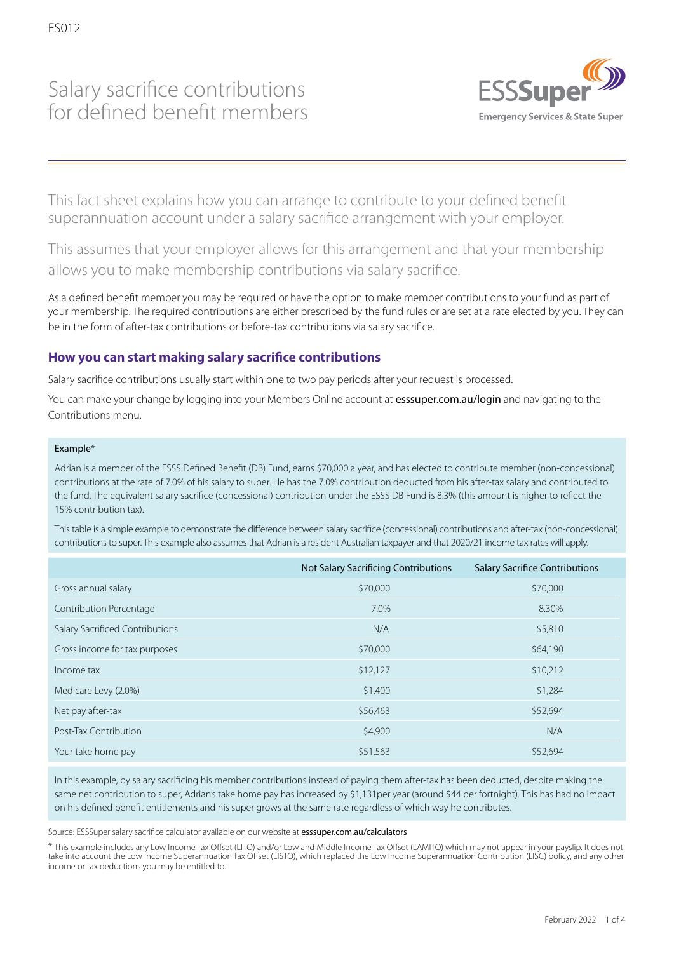## Salary sacrifice contributions for defined benefit members



This fact sheet explains how you can arrange to contribute to your defined benefit superannuation account under a salary sacrifice arrangement with your employer.

This assumes that your employer allows for this arrangement and that your membership allows you to make membership contributions via salary sacrifice.

As a defined benefit member you may be required or have the option to make member contributions to your fund as part of your membership. The required contributions are either prescribed by the fund rules or are set at a rate elected by you. They can be in the form of after-tax contributions or before-tax contributions via salary sacrifice.

## **How you can start making salary sacrifice contributions**

Salary sacrifice contributions usually start within one to two pay periods after your request is processed.

You can make your change by logging into your Members Online account at esssuper.com.au/login and navigating to the Contributions menu.

#### Example\*

Adrian is a member of the ESSS Defined Benefit (DB) Fund, earns \$70,000 a year, and has elected to contribute member (non-concessional) contributions at the rate of 7.0% of his salary to super. He has the 7.0% contribution deducted from his after-tax salary and contributed to the fund. The equivalent salary sacrifice (concessional) contribution under the ESSS DB Fund is 8.3% (this amount is higher to reflect the 15% contribution tax).

This table is a simple example to demonstrate the difference between salary sacrifice (concessional) contributions and after-tax (non-concessional) contributions to super. This example also assumes that Adrian is a resident Australian taxpayer and that 2020/21 income tax rates will apply.

|                                 | Not Salary Sacrificing Contributions | <b>Salary Sacrifice Contributions</b> |
|---------------------------------|--------------------------------------|---------------------------------------|
| Gross annual salary             | \$70,000                             | \$70,000                              |
| Contribution Percentage         | 7.0%                                 | 8.30%                                 |
| Salary Sacrificed Contributions | N/A                                  | \$5,810                               |
| Gross income for tax purposes   | \$70,000                             | \$64,190                              |
| Income tax                      | \$12,127                             | \$10,212                              |
| Medicare Levy (2.0%)            | \$1,400                              | \$1,284                               |
| Net pay after-tax               | \$56,463                             | \$52,694                              |
| Post-Tax Contribution           | \$4,900                              | N/A                                   |
| Your take home pay              | \$51,563                             | \$52,694                              |

In this example, by salary sacrificing his member contributions instead of paying them after-tax has been deducted, despite making the same net contribution to super, Adrian's take home pay has increased by \$1,131per year (around \$44 per fortnight). This has had no impact on his defined benefit entitlements and his super grows at the same rate regardless of which way he contributes.

Source: ESSSuper salary sacrifice calculator available on our website at esssuper.com.au/calculators

\* This example includes any Low Income Tax Offset (LITO) and/or Low and Middle Income Tax Offset (LAMITO) which may not appear in your payslip. It does not take into account the Low Income Superannuation Tax Offset (LISTO), which replaced the Low Income Superannuation Contribution (LISC) policy, and any other income or tax deductions you may be entitled to.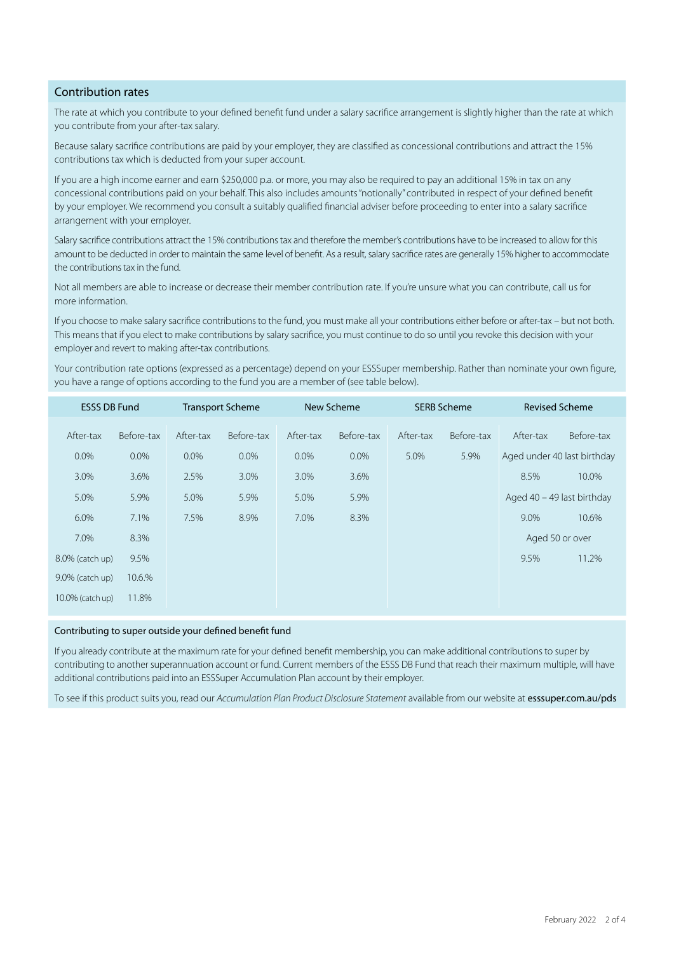#### Contribution rates

The rate at which you contribute to your defined benefit fund under a salary sacrifice arrangement is slightly higher than the rate at which you contribute from your after-tax salary.

Because salary sacrifice contributions are paid by your employer, they are classified as concessional contributions and attract the 15% contributions tax which is deducted from your super account.

If you are a high income earner and earn \$250,000 p.a. or more, you may also be required to pay an additional 15% in tax on any concessional contributions paid on your behalf. This also includes amounts "notionally" contributed in respect of your defined benefit by your employer. We recommend you consult a suitably qualified financial adviser before proceeding to enter into a salary sacrifice arrangement with your employer.

Salary sacrifice contributions attract the 15% contributions tax and therefore the member's contributions have to be increased to allow for this amount to be deducted in order to maintain the same level of benefit. As a result, salary sacrifice rates are generally 15% higher to accommodate the contributions tax in the fund.

Not all members are able to increase or decrease their member contribution rate. If you're unsure what you can contribute, call us for more information.

If you choose to make salary sacrifice contributions to the fund, you must make all your contributions either before or after-tax – but not both. This means that if you elect to make contributions by salary sacrifice, you must continue to do so until you revoke this decision with your employer and revert to making after-tax contributions.

Your contribution rate options (expressed as a percentage) depend on your ESSSuper membership. Rather than nominate your own figure, you have a range of options according to the fund you are a member of (see table below).

| <b>ESSS DB Fund</b> |            | <b>Transport Scheme</b> |            | New Scheme |            | <b>SERB Scheme</b> |            | <b>Revised Scheme</b>        |            |
|---------------------|------------|-------------------------|------------|------------|------------|--------------------|------------|------------------------------|------------|
| After-tax           | Before-tax | After-tax               | Before-tax | After-tax  | Before-tax | After-tax          | Before-tax | After-tax                    | Before-tax |
| $0.0\%$             | $0.0\%$    | $0.0\%$                 | $0.0\%$    | $0.0\%$    | $0.0\%$    | 5.0%               | 5.9%       | Aged under 40 last birthday  |            |
| 3.0%                | 3.6%       | 2.5%                    | 3.0%       | 3.0%       | 3.6%       |                    |            | 8.5%                         | 10.0%      |
| 5.0%                | 5.9%       | 5.0%                    | 5.9%       | 5.0%       | 5.9%       |                    |            | Aged $40 - 49$ last birthday |            |
| 6.0%                | 7.1%       | 7.5%                    | 8.9%       | 7.0%       | 8.3%       |                    |            | 9.0%                         | 10.6%      |
| 7.0%                | 8.3%       |                         |            |            |            |                    |            | Aged 50 or over              |            |
| 8.0% (catch up)     | 9.5%       |                         |            |            |            |                    |            | 9.5%                         | 11.2%      |
| $9.0\%$ (catch up)  | 10.6.%     |                         |            |            |            |                    |            |                              |            |
| 10.0% (catch up)    | 11.8%      |                         |            |            |            |                    |            |                              |            |

#### Contributing to super outside your defined benefit fund

If you already contribute at the maximum rate for your defined benefit membership, you can make additional contributions to super by contributing to another superannuation account or fund. Current members of the ESSS DB Fund that reach their maximum multiple, will have additional contributions paid into an ESSSuper Accumulation Plan account by their employer.

To see if this product suits you, read our *Accumulation Plan Product Disclosure Statement* available from our website at esssuper.com.au/pds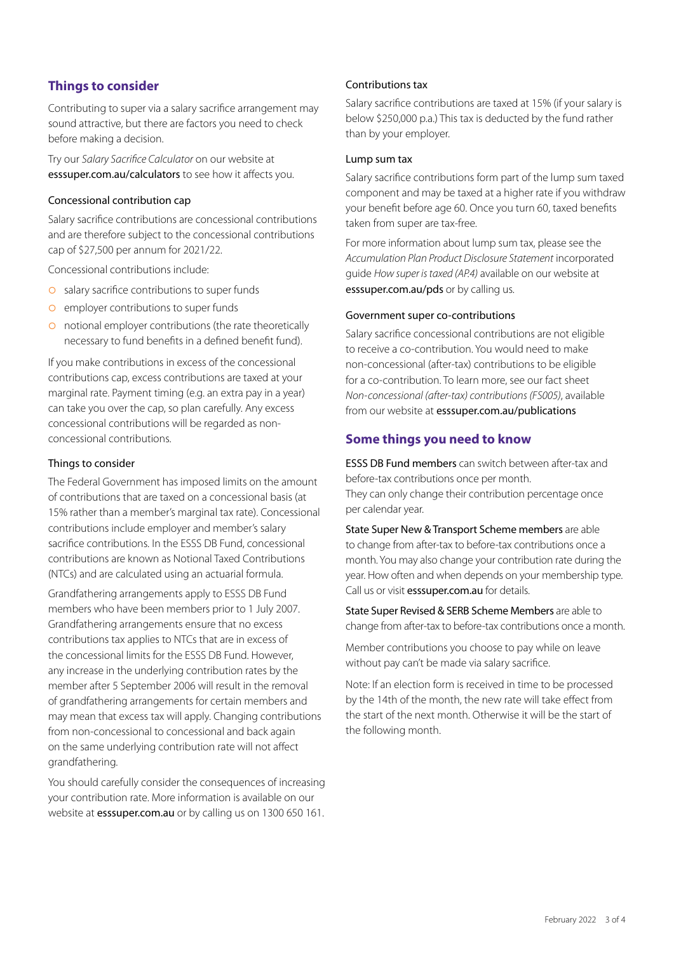## **Things to consider**

Contributing to super via a salary sacrifice arrangement may sound attractive, but there are factors you need to check before making a decision.

Try our *Salary Sacrifice Calculator* on our website at esssuper.com.au/calculators to see how it affects you.

#### Concessional contribution cap

Salary sacrifice contributions are concessional contributions and are therefore subject to the concessional contributions cap of \$27,500 per annum for 2021/22.

Concessional contributions include:

- **O** salary sacrifice contributions to super funds
- **O** employer contributions to super funds
- **O** notional employer contributions (the rate theoretically necessary to fund benefits in a defined benefit fund).

If you make contributions in excess of the concessional contributions cap, excess contributions are taxed at your marginal rate. Payment timing (e.g. an extra pay in a year) can take you over the cap, so plan carefully. Any excess concessional contributions will be regarded as nonconcessional contributions.

#### Things to consider

The Federal Government has imposed limits on the amount of contributions that are taxed on a concessional basis (at 15% rather than a member's marginal tax rate). Concessional contributions include employer and member's salary sacrifice contributions. In the ESSS DB Fund, concessional contributions are known as Notional Taxed Contributions (NTCs) and are calculated using an actuarial formula.

Grandfathering arrangements apply to ESSS DB Fund members who have been members prior to 1 July 2007. Grandfathering arrangements ensure that no excess contributions tax applies to NTCs that are in excess of the concessional limits for the ESSS DB Fund. However, any increase in the underlying contribution rates by the member after 5 September 2006 will result in the removal of grandfathering arrangements for certain members and may mean that excess tax will apply. Changing contributions from non-concessional to concessional and back again on the same underlying contribution rate will not affect grandfathering.

You should carefully consider the consequences of increasing your contribution rate. More information is available on our website at **esssuper.com.au** or by calling us on 1300 650 161.

#### Contributions tax

Salary sacrifice contributions are taxed at 15% (if your salary is below \$250,000 p.a.) This tax is deducted by the fund rather than by your employer.

#### Lump sum tax

Salary sacrifice contributions form part of the lump sum taxed component and may be taxed at a higher rate if you withdraw your benefit before age 60. Once you turn 60, taxed benefits taken from super are tax-free.

For more information about lump sum tax, please see the *Accumulation Plan Product Disclosure Statement* incorporated guide *How super is taxed (AP.4)* available on our website at esssuper.com.au/pds or by calling us.

#### Government super co-contributions

Salary sacrifice concessional contributions are not eligible to receive a co-contribution. You would need to make non-concessional (after-tax) contributions to be eligible for a co-contribution. To learn more, see our fact sheet *Non-concessional (after-tax) contributions (FS005)*, available from our website at esssuper.com.au/publications

## **Some things you need to know**

ESSS DB Fund members can switch between after-tax and before-tax contributions once per month. They can only change their contribution percentage once per calendar year.

State Super New & Transport Scheme members are able to change from after-tax to before-tax contributions once a month. You may also change your contribution rate during the year. How often and when depends on your membership type. Call us or visit esssuper.com.au for details.

State Super Revised & SERB Scheme Members are able to change from after-tax to before-tax contributions once a month.

Member contributions you choose to pay while on leave without pay can't be made via salary sacrifice.

Note: If an election form is received in time to be processed by the 14th of the month, the new rate will take effect from the start of the next month. Otherwise it will be the start of the following month.